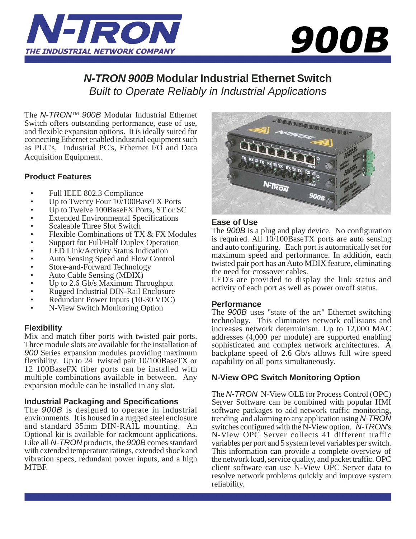



## *N-TRON 900B* **Modular Industrial Ethernet Switch** *Built to Operate Reliably in Industrial Applications*

The *N-TRON*TM *900B* Modular Industrial Ethernet Switch offers outstanding performance, ease of use, and flexible expansion options. It is ideally suited for connecting Ethernet enabled industrial equipment such as PLC's, Industrial PC's, Ethernet I/O and Data Acquisition Equipment.

## **Product Features**

- Full IEEE 802.3 Compliance
- Up to Twenty Four  $10/100B$ aseTX Ports
- Up to Twelve 100BaseFX Ports, ST or SC
- Extended Environmental Specifications
- Scaleable Three Slot Switch
- Flexible Combinations of TX & FX Modules
- Support for Full/Half Duplex Operation
- LED Link/Activity Status Indication
- Auto Sensing Speed and Flow Control
- Store-and-Forward Technology
- Auto Cable Sensing (MDIX)
- Up to 2.6 Gb/s Maximum Throughput
- Rugged Industrial DIN-Rail Enclosure
- Redundant Power Inputs (10-30 VDC)
- N-View Switch Monitoring Option

## **Flexibility**

Mix and match fiber ports with twisted pair ports. Three module slots are available for the installation of *900* Series expansion modules providing maximum flexibility. Up to 24 twisted pair 10/100BaseTX or 12 100BaseFX fiber ports can be installed with multiple combinations available in between. Any expansion module can be installed in any slot.

## **Industrial Packaging and Specifications**

The *900B* is designed to operate in industrial environments. It is housed in a rugged steel enclosure and standard 35mm DIN-RAIL mounting. An Optional kit is available for rackmount applications. Like all *N-TRON* products, the *900B* comes standard with extended temperature ratings, extended shock and vibration specs, redundant power inputs, and a high MTBF.



## **Ease of Use**

The *900B* is a plug and play device. No configuration is required. All 10/100BaseTX ports are auto sensing and auto configuring. Each port is automatically set for maximum speed and performance. In addition, each twisted pair port has an Auto MDIX feature, eliminating the need for crossover cables.

LED's are provided to display the link status and activity of each port as well as power on/off status.

## **Performance**

The *900B* uses "state of the art" Ethernet switching technology. This eliminates network collisions and increases network determinism. Up to 12,000 MAC addresses (4,000 per module) are supported enabling sophisticated and complex network architectures. A backplane speed of 2.6 Gb/s allows full wire speed capability on all ports simultaneously.

## **N-View OPC Switch Monitoring Option**

The *N-TRON* N-View OLE for Process Control (OPC) Server Software can be combined with popular HMI software packages to add network traffic monitoring, trending and alarming to any application using *N-TRON* switches configured with the N-View option. *N-TRON*'s N-View OPC Server collects 41 different traffic variables per port and 5 system level variables per switch. This information can provide a complete overview of the network load, service quality, and packet traffic. OPC client software can use N-View OPC Server data to resolve network problems quickly and improve system reliability.